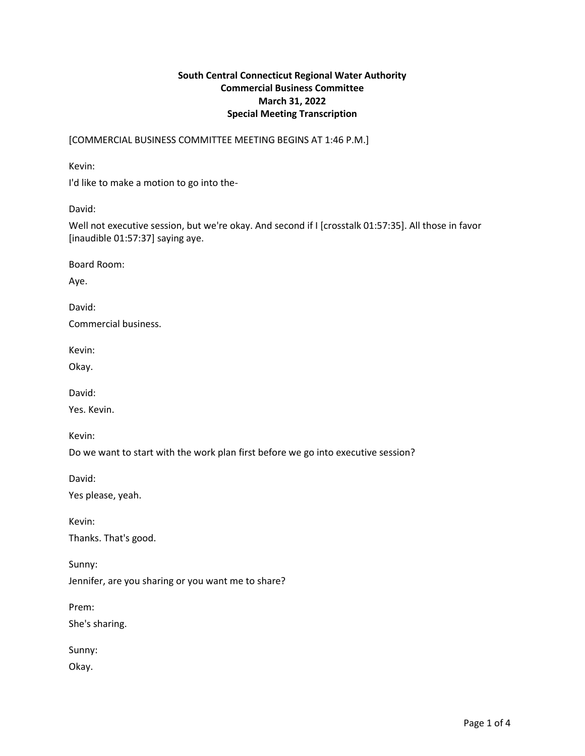## **South Central Connecticut Regional Water Authority Commercial Business Committee March 31, 2022 Special Meeting Transcription**

[COMMERCIAL BUSINESS COMMITTEE MEETING BEGINS AT 1:46 P.M.]

Kevin:

I'd like to make a motion to go into the-

David:

Well not executive session, but we're okay. And second if I [crosstalk 01:57:35]. All those in favor [inaudible 01:57:37] saying aye.

Board Room:

Aye.

David:

Commercial business.

Kevin:

Okay.

David:

Yes. Kevin.

Kevin:

Do we want to start with the work plan first before we go into executive session?

David:

Yes please, yeah.

Kevin:

Thanks. That's good.

Sunny:

Jennifer, are you sharing or you want me to share?

Prem:

She's sharing.

Sunny:

Okay.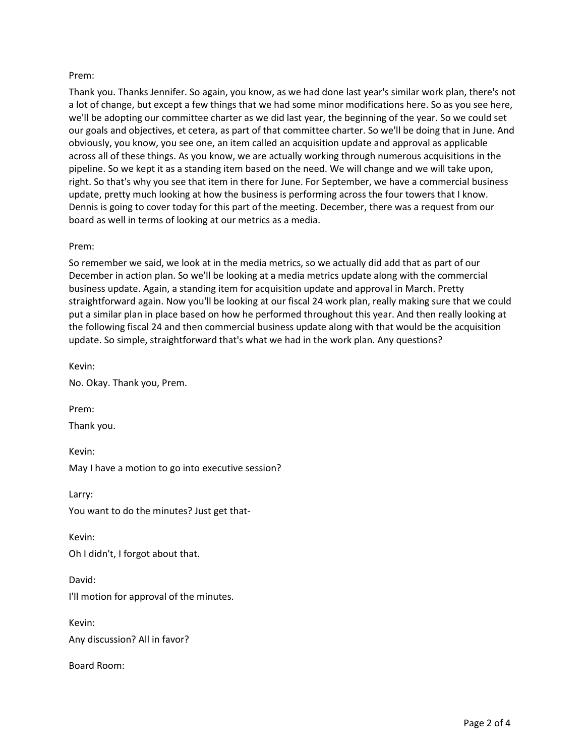## Prem:

Thank you. Thanks Jennifer. So again, you know, as we had done last year's similar work plan, there's not a lot of change, but except a few things that we had some minor modifications here. So as you see here, we'll be adopting our committee charter as we did last year, the beginning of the year. So we could set our goals and objectives, et cetera, as part of that committee charter. So we'll be doing that in June. And obviously, you know, you see one, an item called an acquisition update and approval as applicable across all of these things. As you know, we are actually working through numerous acquisitions in the pipeline. So we kept it as a standing item based on the need. We will change and we will take upon, right. So that's why you see that item in there for June. For September, we have a commercial business update, pretty much looking at how the business is performing across the four towers that I know. Dennis is going to cover today for this part of the meeting. December, there was a request from our board as well in terms of looking at our metrics as a media.

## Prem:

So remember we said, we look at in the media metrics, so we actually did add that as part of our December in action plan. So we'll be looking at a media metrics update along with the commercial business update. Again, a standing item for acquisition update and approval in March. Pretty straightforward again. Now you'll be looking at our fiscal 24 work plan, really making sure that we could put a similar plan in place based on how he performed throughout this year. And then really looking at the following fiscal 24 and then commercial business update along with that would be the acquisition update. So simple, straightforward that's what we had in the work plan. Any questions?

Kevin:

No. Okay. Thank you, Prem.

Prem:

Thank you.

Kevin:

May I have a motion to go into executive session?

Larry:

You want to do the minutes? Just get that-

Kevin: Oh I didn't, I forgot about that.

David: I'll motion for approval of the minutes.

Kevin: Any discussion? All in favor?

Board Room: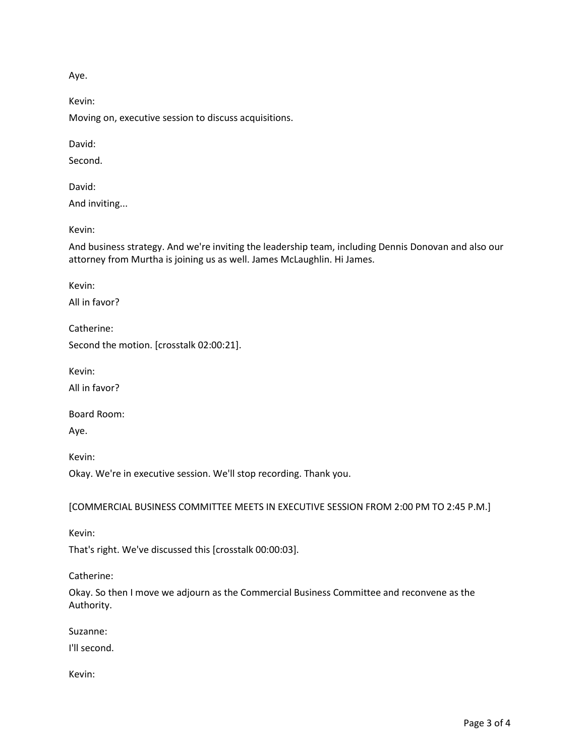Aye.

Kevin:

Moving on, executive session to discuss acquisitions.

David:

Second.

David:

And inviting...

Kevin:

And business strategy. And we're inviting the leadership team, including Dennis Donovan and also our attorney from Murtha is joining us as well. James McLaughlin. Hi James.

Kevin:

All in favor?

Catherine:

Second the motion. [crosstalk 02:00:21].

Kevin:

All in favor?

Board Room:

Aye.

Kevin:

Okay. We're in executive session. We'll stop recording. Thank you.

[COMMERCIAL BUSINESS COMMITTEE MEETS IN EXECUTIVE SESSION FROM 2:00 PM TO 2:45 P.M.]

Kevin:

That's right. We've discussed this [crosstalk 00:00:03].

Catherine:

Okay. So then I move we adjourn as the Commercial Business Committee and reconvene as the Authority.

Suzanne:

I'll second.

Kevin: